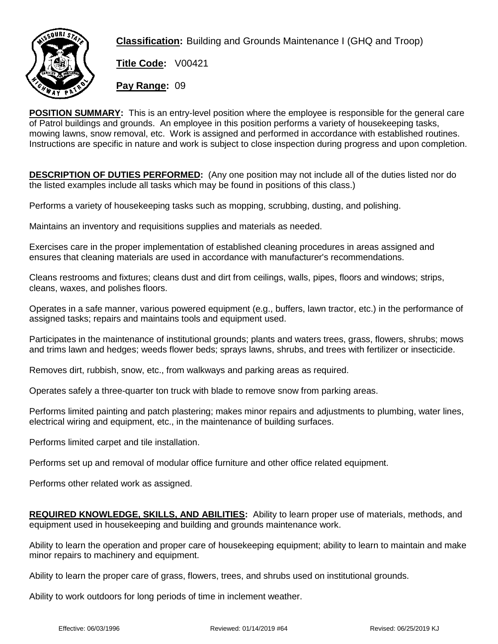

**Classification:** Building and Grounds Maintenance I (GHQ and Troop)

**Title Code:** V00421

**Pay Range:** 09

**POSITION SUMMARY:** This is an entry-level position where the employee is responsible for the general care of Patrol buildings and grounds. An employee in this position performs a variety of housekeeping tasks, mowing lawns, snow removal, etc. Work is assigned and performed in accordance with established routines. Instructions are specific in nature and work is subject to close inspection during progress and upon completion.

**DESCRIPTION OF DUTIES PERFORMED:** (Any one position may not include all of the duties listed nor do the listed examples include all tasks which may be found in positions of this class.)

Performs a variety of housekeeping tasks such as mopping, scrubbing, dusting, and polishing.

Maintains an inventory and requisitions supplies and materials as needed.

Exercises care in the proper implementation of established cleaning procedures in areas assigned and ensures that cleaning materials are used in accordance with manufacturer's recommendations.

Cleans restrooms and fixtures; cleans dust and dirt from ceilings, walls, pipes, floors and windows; strips, cleans, waxes, and polishes floors.

Operates in a safe manner, various powered equipment (e.g., buffers, lawn tractor, etc.) in the performance of assigned tasks; repairs and maintains tools and equipment used.

Participates in the maintenance of institutional grounds; plants and waters trees, grass, flowers, shrubs; mows and trims lawn and hedges; weeds flower beds; sprays lawns, shrubs, and trees with fertilizer or insecticide.

Removes dirt, rubbish, snow, etc., from walkways and parking areas as required.

Operates safely a three-quarter ton truck with blade to remove snow from parking areas.

Performs limited painting and patch plastering; makes minor repairs and adjustments to plumbing, water lines, electrical wiring and equipment, etc., in the maintenance of building surfaces.

Performs limited carpet and tile installation.

Performs set up and removal of modular office furniture and other office related equipment.

Performs other related work as assigned.

**REQUIRED KNOWLEDGE, SKILLS, AND ABILITIES:** Ability to learn proper use of materials, methods, and equipment used in housekeeping and building and grounds maintenance work.

Ability to learn the operation and proper care of housekeeping equipment; ability to learn to maintain and make minor repairs to machinery and equipment.

Ability to learn the proper care of grass, flowers, trees, and shrubs used on institutional grounds.

Ability to work outdoors for long periods of time in inclement weather.